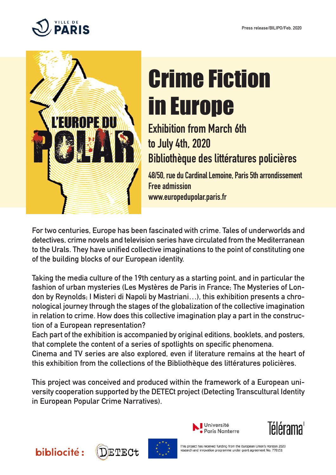



# Crime Fiction in Europe

## **Exhibition from March 6th to July 4th, 2020 Bibliothèque des littératures policières**

**48/50, ruedu CardinalLemoine, Paris5tharrondissement Free admission www.europedupolar.paris.fr**

**For two centuries, Europe has been fascinated with crime. Tales of underworlds and detectives, crime novels and television series have circulated from the Mediterranean to the Urals. They have unified collective imaginations to the point of constituting one of the building blocks of our European identity.**

**Taking the media culture of the 19th century as a starting point, and in particular the fashion of urban mysteries (Les Mystères de Paris in France; The Mysteries of London** by Reynolds; I Misteri di Napoli by Mastriani...), this exhibition presents a chro**nological journey through the stages of the globalization of the collective imagination in relation to crime. How does this collective imagination play a part in the construction of a European representation?**

**Each part of the exhibition is accompanied by original editions, booklets, and posters, that complete the content of a series of spotlights on specific phenomena.**

**Cinema and TV series are also explored, even if literature remains at the heart of this exhibition from the collections of the Bibliothèque des littératures policières.**

**This project was conceived and produced within the framework of a European university cooperation supported by the DETECt project (Detecting Transcultural Identity in European Popular Crime Narratives).**





This project has received funding from the European Union's Horizon 2020 research and innovation programme under grant agreement No. 770151





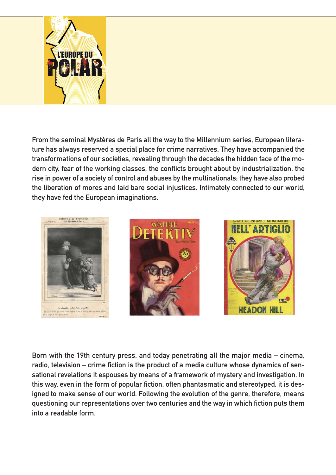

**From the seminal Mystères de Paris all the way to the Millennium series, European literature has always reserved a special place for crime narratives. They have accompanied the transformations of our societies, revealing through the decades the hidden face of the modern city, fear of the working classes, the conflicts brought about by industrialization, the rise in power of a society of control and abuses by the multinationals; they have also probed the liberation of mores and laid bare social injustices. Intimately connected to our world, they have fed the European imaginations.**



**Born with the 19th century press, and today penetrating all the major media – cinema, radio, television – crime fiction is the product of a media culture whose dynamics of sensational revelations it espouses by means of a framework of mystery and investigation. In this way, even in the form of popular fiction, often phantasmatic and stereotyped, it is designed to make sense of our world. Following the evolution of the genre, therefore, means questioning our representations over two centuries and the way in which fiction puts them into a readable form.**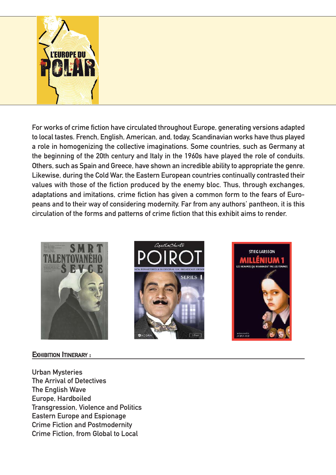

**For works of crime fiction have circulated throughout Europe, generating versions adapted to local tastes. French, English, American, and, today, Scandinavian works have thus played a role in homogenizing the collective imaginations. Some countries, such as Germany at the beginning of the 20th century and Italy in the 1960s have played the role of conduits. Others, such as Spain and Greece, have shown an incredible ability to appropriate the genre. Likewise, during the Cold War, the Eastern European countries continually contrasted their values with those of the fiction produced by the enemy bloc. Thus, through exchanges, adaptations and imitations, crime fiction has given a common form to the fears of Europeans and to their way of considering modernity. Far from any authors' pantheon, it is this circulation of the forms and patterns of crime fiction that this exhibit aims to render.**



#### **EXHIBITION ITINERARY :**





**Urban Mysteries The Arrival of Detectives The English Wave Europe, Hardboiled Transgression, Violence and Politics Eastern Europe and Espionage Crime Fiction and Postmodernity Crime Fiction, from Global to Local**